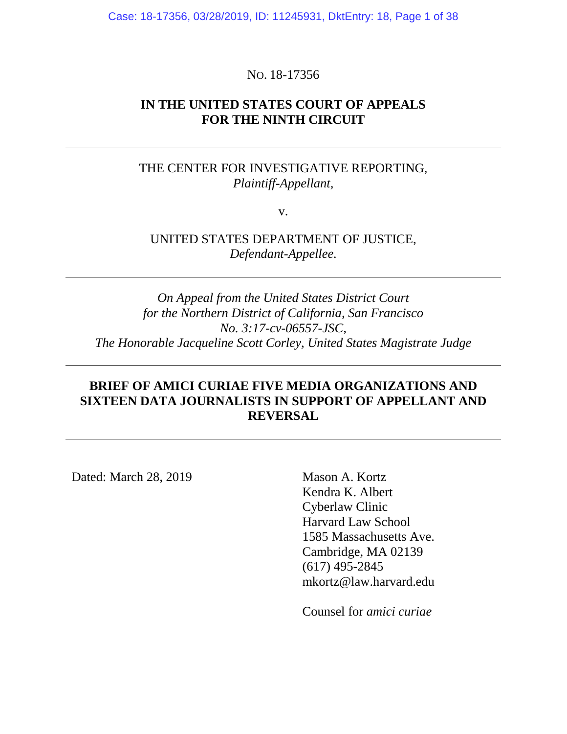Case: 18-17356, 03/28/2019, ID: 11245931, DktEntry: 18, Page 1 of 38

## NO. 18-17356

## **IN THE UNITED STATES COURT OF APPEALS FOR THE NINTH CIRCUIT**

# THE CENTER FOR INVESTIGATIVE REPORTING, *Plaintiff-Appellant,*

v.

UNITED STATES DEPARTMENT OF JUSTICE, *Defendant-Appellee.*

*On Appeal from the United States District Court for the Northern District of California, San Francisco No. 3:17-cv-06557-JSC, The Honorable Jacqueline Scott Corley, United States Magistrate Judge*

# **BRIEF OF AMICI CURIAE FIVE MEDIA ORGANIZATIONS AND SIXTEEN DATA JOURNALISTS IN SUPPORT OF APPELLANT AND REVERSAL**

Dated: March 28, 2019 Mason A. Kortz

Kendra K. Albert Cyberlaw Clinic Harvard Law School 1585 Massachusetts Ave. Cambridge, MA 02139 (617) 495-2845 mkortz@law.harvard.edu

Counsel for *amici curiae*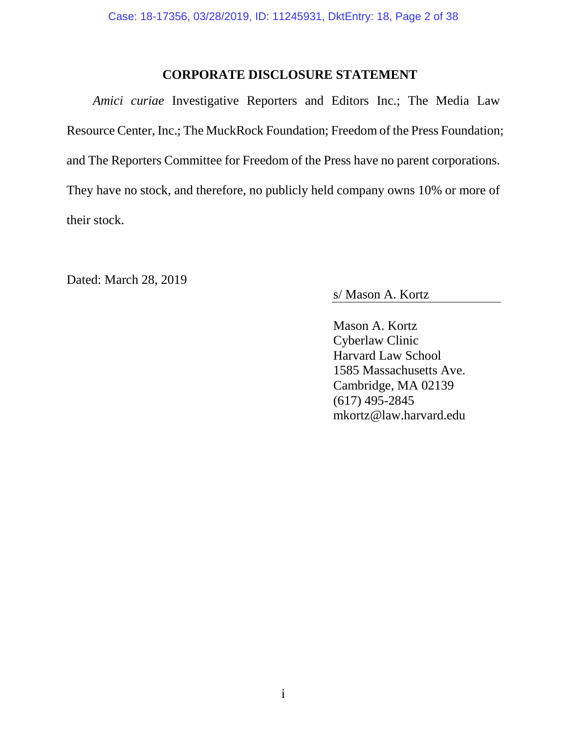## **CORPORATE DISCLOSURE STATEMENT**

<span id="page-1-0"></span>*Amici curiae* Investigative Reporters and Editors Inc.; The Media Law Resource Center, Inc.; The MuckRock Foundation; Freedom of the Press Foundation; and The Reporters Committee for Freedom of the Press have no parent corporations. They have no stock, and therefore, no publicly held company owns 10% or more of their stock.

Dated: March 28, 2019

s/ Mason A. Kortz

Mason A. Kortz Cyberlaw Clinic Harvard Law School 1585 Massachusetts Ave. Cambridge, MA 02139 (617) 495-2845 mkortz@law.harvard.edu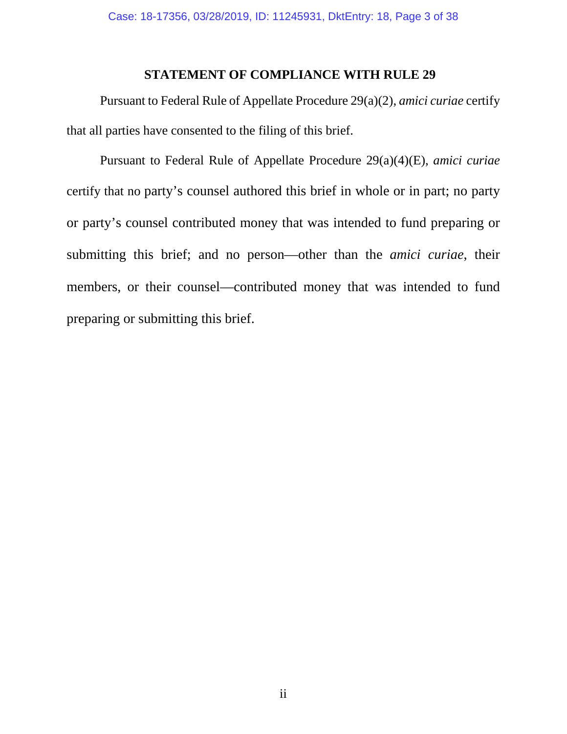## **STATEMENT OF COMPLIANCE WITH RULE 29**

<span id="page-2-0"></span>Pursuant to Federal Rule of Appellate Procedure 29(a)(2), *amici curiae* certify that all parties have consented to the filing of this brief.

Pursuant to Federal Rule of Appellate Procedure 29(a)(4)(E), *amici curiae* certify that no party's counsel authored this brief in whole or in part; no party or party's counsel contributed money that was intended to fund preparing or submitting this brief; and no person—other than the *amici curiae*, their members, or their counsel—contributed money that was intended to fund preparing or submitting this brief.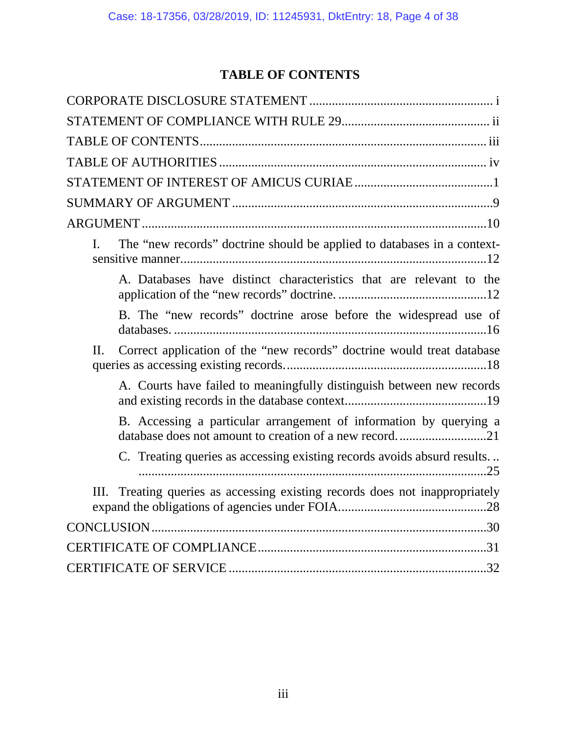# **TABLE OF CONTENTS**

<span id="page-3-0"></span>

| The "new records" doctrine should be applied to databases in a context-<br>L                                                 |
|------------------------------------------------------------------------------------------------------------------------------|
| A. Databases have distinct characteristics that are relevant to the                                                          |
| B. The "new records" doctrine arose before the widespread use of                                                             |
| Correct application of the "new records" doctrine would treat database<br>Π.                                                 |
| A. Courts have failed to meaningfully distinguish between new records                                                        |
| B. Accessing a particular arrangement of information by querying a<br>database does not amount to creation of a new record21 |
| C. Treating queries as accessing existing records avoids absurd results                                                      |
| Treating queries as accessing existing records does not inappropriately<br>III.                                              |
|                                                                                                                              |
|                                                                                                                              |
|                                                                                                                              |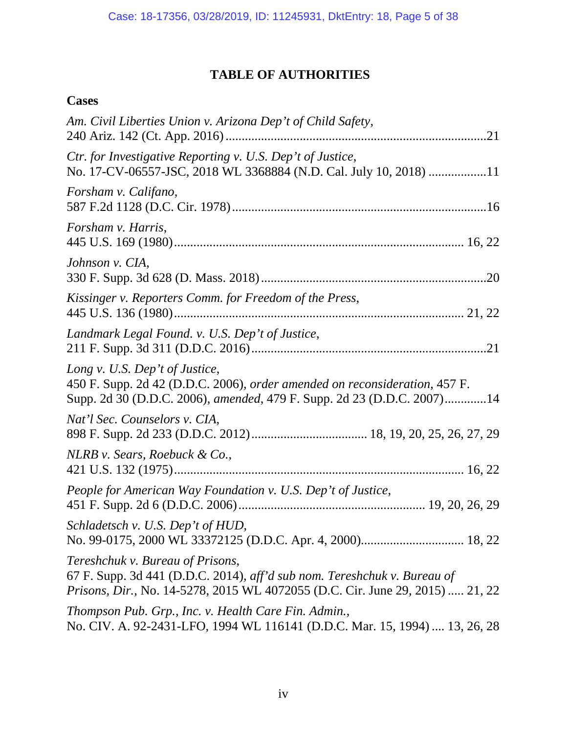# **TABLE OF AUTHORITIES**

# <span id="page-4-0"></span>**Cases**

| Am. Civil Liberties Union v. Arizona Dep't of Child Safety,                                                                                                                                          |
|------------------------------------------------------------------------------------------------------------------------------------------------------------------------------------------------------|
| Ctr. for Investigative Reporting v. U.S. Dep't of Justice,<br>No. 17-CV-06557-JSC, 2018 WL 3368884 (N.D. Cal. July 10, 2018) 11                                                                      |
| Forsham v. Califano,                                                                                                                                                                                 |
| Forsham v. Harris,                                                                                                                                                                                   |
| Johnson v. CIA,                                                                                                                                                                                      |
| Kissinger v. Reporters Comm. for Freedom of the Press,                                                                                                                                               |
| Landmark Legal Found. v. U.S. Dep't of Justice,                                                                                                                                                      |
| Long v. U.S. Dep't of Justice,<br>450 F. Supp. 2d 42 (D.D.C. 2006), order amended on reconsideration, 457 F.<br>Supp. 2d 30 (D.D.C. 2006), amended, 479 F. Supp. 2d 23 (D.D.C. 2007)14               |
| Nat'l Sec. Counselors v. CIA,                                                                                                                                                                        |
| NLRB v. Sears, Roebuck & Co.,                                                                                                                                                                        |
| People for American Way Foundation v. U.S. Dep't of Justice,                                                                                                                                         |
| Schladetsch v. U.S. Dep't of HUD,                                                                                                                                                                    |
| Tereshchuk v. Bureau of Prisons,<br>67 F. Supp. 3d 441 (D.D.C. 2014), aff'd sub nom. Tereshchuk v. Bureau of<br><i>Prisons, Dir., No.</i> 14-5278, 2015 WL 4072055 (D.C. Cir. June 29, 2015)  21, 22 |
| Thompson Pub. Grp., Inc. v. Health Care Fin. Admin.,<br>No. CIV. A. 92-2431-LFO, 1994 WL 116141 (D.D.C. Mar. 15, 1994)  13, 26, 28                                                                   |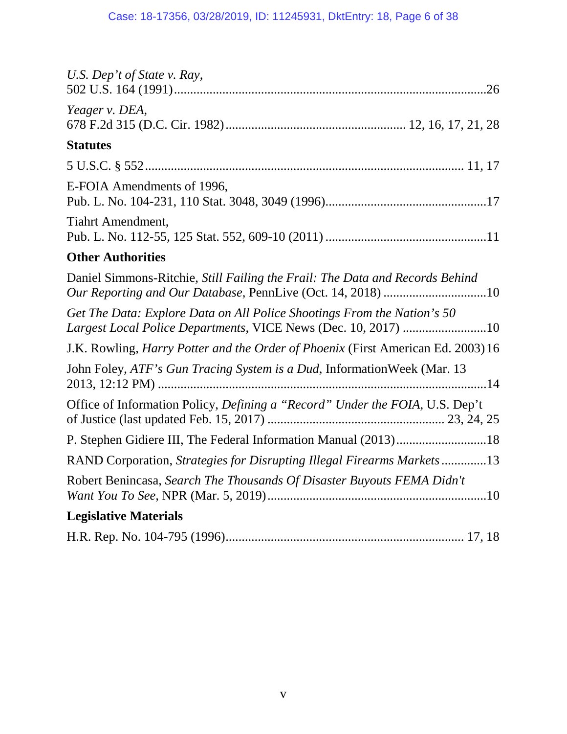| U.S. Dep't of State v. Ray,                                                                                                               |
|-------------------------------------------------------------------------------------------------------------------------------------------|
| Yeager v. DEA,                                                                                                                            |
| <b>Statutes</b>                                                                                                                           |
|                                                                                                                                           |
| E-FOIA Amendments of 1996,                                                                                                                |
| <b>Tiahrt Amendment,</b>                                                                                                                  |
| <b>Other Authorities</b>                                                                                                                  |
| Daniel Simmons-Ritchie, Still Failing the Frail: The Data and Records Behind                                                              |
| Get The Data: Explore Data on All Police Shootings From the Nation's 50<br>Largest Local Police Departments, VICE News (Dec. 10, 2017) 10 |
| J.K. Rowling, <i>Harry Potter and the Order of Phoenix</i> (First American Ed. 2003) 16                                                   |
| John Foley, ATF's Gun Tracing System is a Dud, Information Week (Mar. 13                                                                  |
| Office of Information Policy, Defining a "Record" Under the FOIA, U.S. Dep't                                                              |
|                                                                                                                                           |
| RAND Corporation, Strategies for Disrupting Illegal Firearms Markets13                                                                    |
| Robert Benincasa, Search The Thousands Of Disaster Buyouts FEMA Didn't                                                                    |
| <b>Legislative Materials</b>                                                                                                              |
|                                                                                                                                           |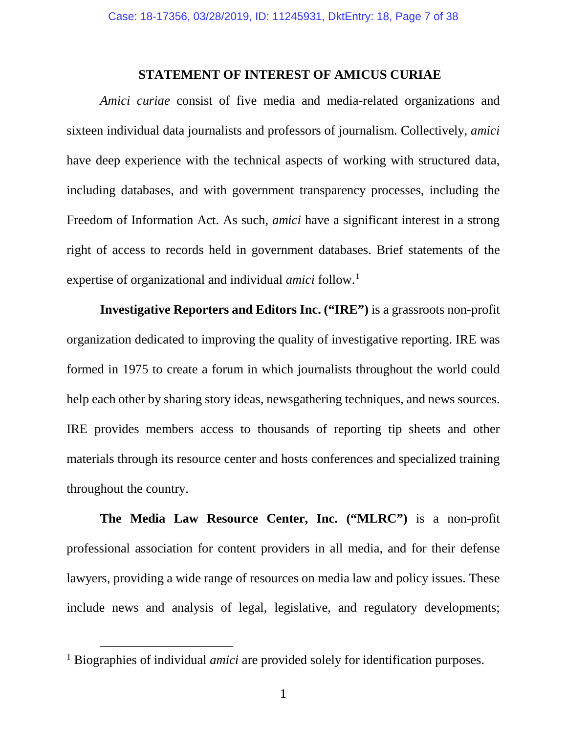## **STATEMENT OF INTEREST OF AMICUS CURIAE**

<span id="page-6-0"></span>*Amici curiae* consist of five media and media-related organizations and sixteen individual data journalists and professors of journalism. Collectively, *amici* have deep experience with the technical aspects of working with structured data, including databases, and with government transparency processes, including the Freedom of Information Act. As such, *amici* have a significant interest in a strong right of access to records held in government databases. Brief statements of the expertise of organizational and individual *amici* follow.[1](#page-6-1)

**Investigative Reporters and Editors Inc. ("IRE")** is a grassroots non-profit organization dedicated to improving the quality of investigative reporting. IRE was formed in 1975 to create a forum in which journalists throughout the world could help each other by sharing story ideas, newsgathering techniques, and news sources. IRE provides members access to thousands of reporting tip sheets and other materials through its resource center and hosts conferences and specialized training throughout the country.

**The Media Law Resource Center, Inc. ("MLRC")** is a non-profit professional association for content providers in all media, and for their defense lawyers, providing a wide range of resources on media law and policy issues. These include news and analysis of legal, legislative, and regulatory developments;

<span id="page-6-1"></span><sup>&</sup>lt;sup>1</sup> Biographies of individual *amici* are provided solely for identification purposes.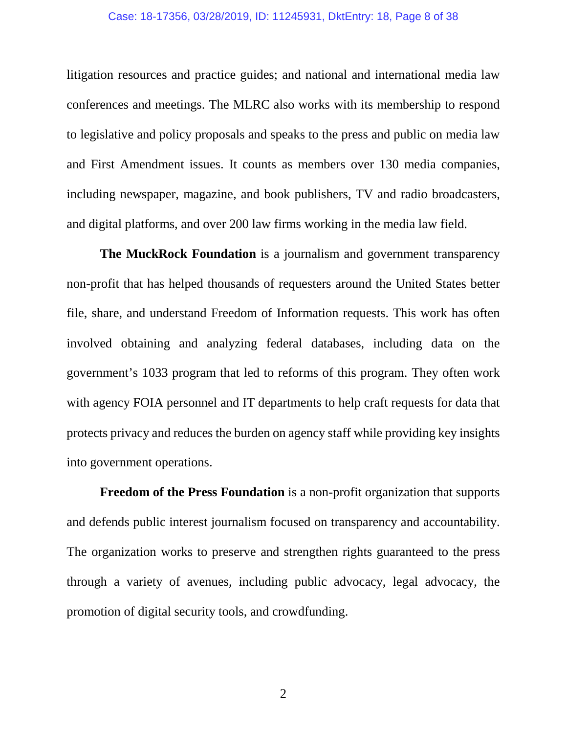#### Case: 18-17356, 03/28/2019, ID: 11245931, DktEntry: 18, Page 8 of 38

litigation resources and practice guides; and national and international media law conferences and meetings. The MLRC also works with its membership to respond to legislative and policy proposals and speaks to the press and public on media law and First Amendment issues. It counts as members over 130 media companies, including newspaper, magazine, and book publishers, TV and radio broadcasters, and digital platforms, and over 200 law firms working in the media law field.

**The MuckRock Foundation** is a journalism and government transparency non-profit that has helped thousands of requesters around the United States better file, share, and understand Freedom of Information requests. This work has often involved obtaining and analyzing federal databases, including data on the government's 1033 program that led to reforms of this program. They often work with agency FOIA personnel and IT departments to help craft requests for data that protects privacy and reduces the burden on agency staff while providing key insights into government operations.

**Freedom of the Press Foundation** is a non-profit organization that supports and defends public interest journalism focused on transparency and accountability. The organization works to preserve and strengthen rights guaranteed to the press through a variety of avenues, including public advocacy, legal advocacy, the promotion of digital security tools, and crowdfunding.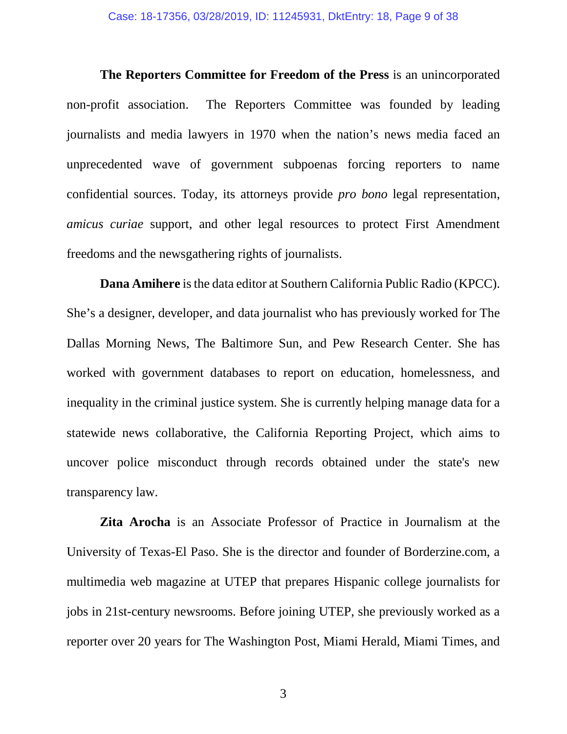**The Reporters Committee for Freedom of the Press** is an unincorporated non-profit association. The Reporters Committee was founded by leading journalists and media lawyers in 1970 when the nation's news media faced an unprecedented wave of government subpoenas forcing reporters to name confidential sources. Today, its attorneys provide *pro bono* legal representation, *amicus curiae* support, and other legal resources to protect First Amendment freedoms and the newsgathering rights of journalists.

**Dana Amihere** is the data editor at Southern California Public Radio (KPCC). She's a designer, developer, and data journalist who has previously worked for The Dallas Morning News, The Baltimore Sun, and Pew Research Center. She has worked with government databases to report on education, homelessness, and inequality in the criminal justice system. She is currently helping manage data for a statewide news collaborative, the California Reporting Project, which aims to uncover police misconduct through records obtained under the state's new transparency law.

**Zita Arocha** is an Associate Professor of Practice in Journalism at the University of Texas-El Paso. She is the director and founder of Borderzine.com, a multimedia web magazine at UTEP that prepares Hispanic college journalists for jobs in 21st-century newsrooms. Before joining UTEP, she previously worked as a reporter over 20 years for The Washington Post, Miami Herald, Miami Times, and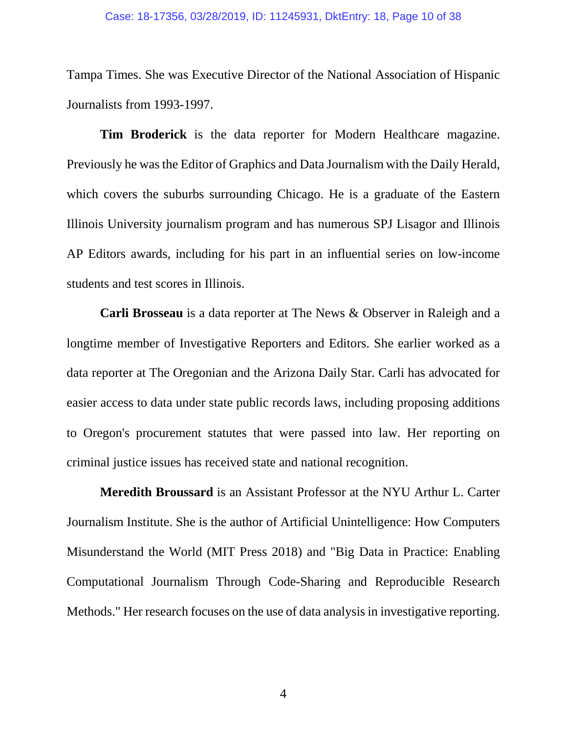Tampa Times. She was Executive Director of the National Association of Hispanic Journalists from 1993-1997.

**Tim Broderick** is the data reporter for Modern Healthcare magazine. Previously he was the Editor of Graphics and Data Journalism with the Daily Herald, which covers the suburbs surrounding Chicago. He is a graduate of the Eastern Illinois University journalism program and has numerous SPJ Lisagor and Illinois AP Editors awards, including for his part in an influential series on low-income students and test scores in Illinois.

**Carli Brosseau** is a data reporter at The News & Observer in Raleigh and a longtime member of Investigative Reporters and Editors. She earlier worked as a data reporter at The Oregonian and the Arizona Daily Star. Carli has advocated for easier access to data under state public records laws, including proposing additions to Oregon's procurement statutes that were passed into law. Her reporting on criminal justice issues has received state and national recognition.

**Meredith Broussard** is an Assistant Professor at the NYU Arthur L. Carter Journalism Institute. She is the author of Artificial Unintelligence: How Computers Misunderstand the World (MIT Press 2018) and "Big Data in Practice: Enabling Computational Journalism Through Code-Sharing and Reproducible Research Methods." Her research focuses on the use of data analysis in investigative reporting.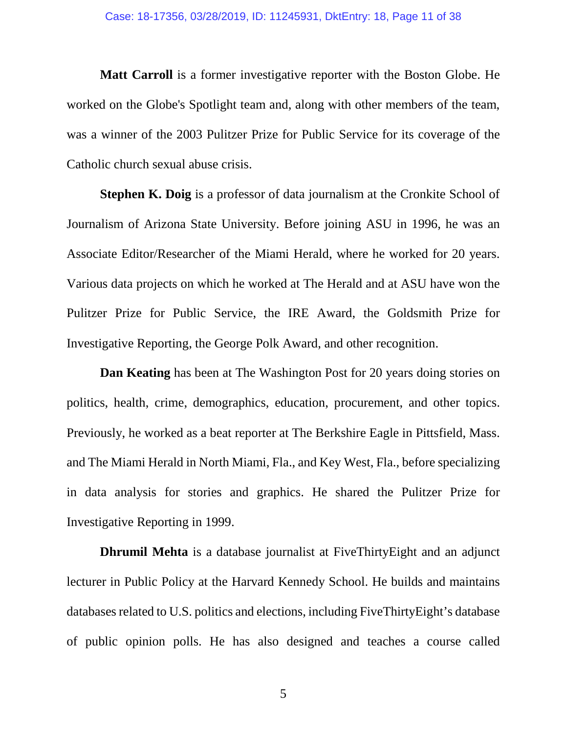#### Case: 18-17356, 03/28/2019, ID: 11245931, DktEntry: 18, Page 11 of 38

**Matt Carroll** is a former investigative reporter with the Boston Globe. He worked on the Globe's Spotlight team and, along with other members of the team, was a winner of the 2003 Pulitzer Prize for Public Service for its coverage of the Catholic church sexual abuse crisis.

**Stephen K. Doig** is a professor of data journalism at the Cronkite School of Journalism of Arizona State University. Before joining ASU in 1996, he was an Associate Editor/Researcher of the Miami Herald, where he worked for 20 years. Various data projects on which he worked at The Herald and at ASU have won the Pulitzer Prize for Public Service, the IRE Award, the Goldsmith Prize for Investigative Reporting, the George Polk Award, and other recognition.

**Dan Keating** has been at The Washington Post for 20 years doing stories on politics, health, crime, demographics, education, procurement, and other topics. Previously, he worked as a beat reporter at The Berkshire Eagle in Pittsfield, Mass. and The Miami Herald in North Miami, Fla., and Key West, Fla., before specializing in data analysis for stories and graphics. He shared the Pulitzer Prize for Investigative Reporting in 1999.

**Dhrumil Mehta** is a database journalist at FiveThirtyEight and an adjunct lecturer in Public Policy at the Harvard Kennedy School. He builds and maintains databases related to U.S. politics and elections, including FiveThirtyEight's database of public opinion polls. He has also designed and teaches a course called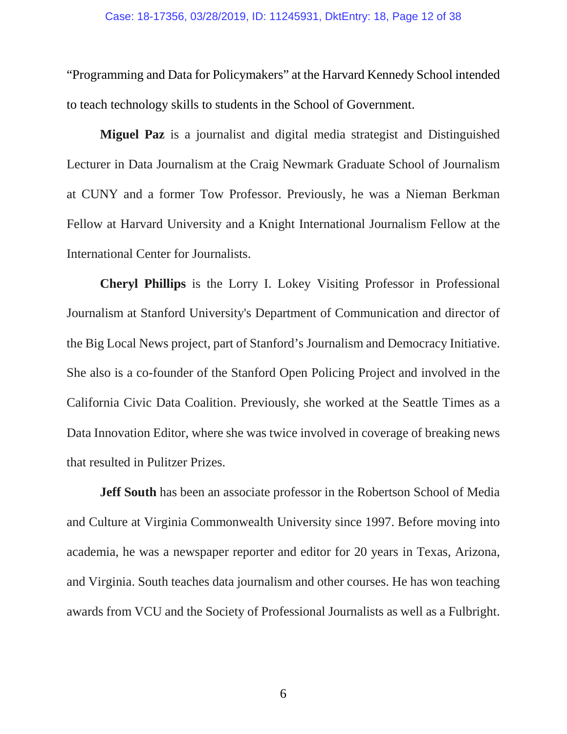"Programming and Data for Policymakers" at the Harvard Kennedy School intended to teach technology skills to students in the School of Government.

**Miguel Paz** is a journalist and digital media strategist and Distinguished Lecturer in Data Journalism at the Craig Newmark Graduate School of Journalism at CUNY and a former Tow Professor. Previously, he was a Nieman Berkman Fellow at Harvard University and a Knight International Journalism Fellow at the International Center for Journalists.

**Cheryl Phillips** is the Lorry I. Lokey Visiting Professor in Professional Journalism at Stanford University's Department of Communication and director of the Big Local News project, part of Stanford's Journalism and Democracy Initiative. She also is a co-founder of the Stanford Open Policing Project and involved in the California Civic Data Coalition. Previously, she worked at the Seattle Times as a Data Innovation Editor, where she was twice involved in coverage of breaking news that resulted in Pulitzer Prizes.

**Jeff South** has been an associate professor in the Robertson School of Media and Culture at Virginia Commonwealth University since 1997. Before moving into academia, he was a newspaper reporter and editor for 20 years in Texas, Arizona, and Virginia. South teaches data journalism and other courses. He has won teaching awards from VCU and the Society of Professional Journalists as well as a Fulbright.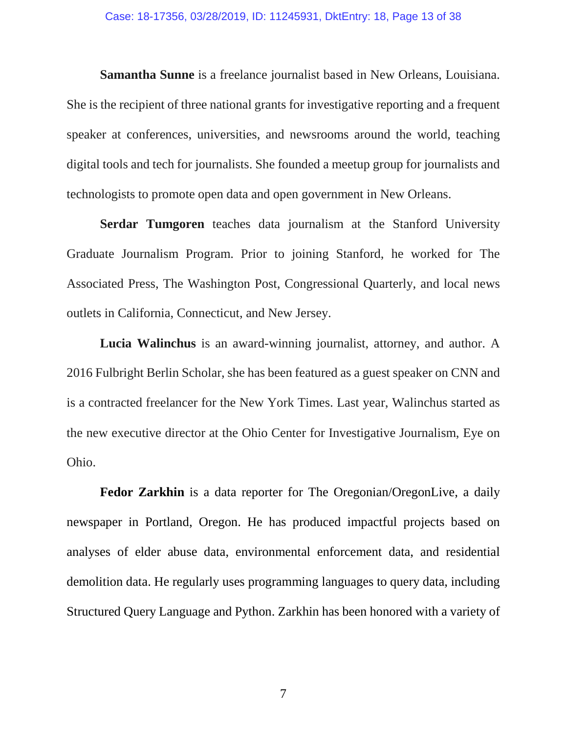#### Case: 18-17356, 03/28/2019, ID: 11245931, DktEntry: 18, Page 13 of 38

**Samantha Sunne** is a freelance journalist based in New Orleans, Louisiana. She is the recipient of three national grants for investigative reporting and a frequent speaker at conferences, universities, and newsrooms around the world, teaching digital tools and tech for journalists. She founded a meetup group for journalists and technologists to promote open data and open government in New Orleans.

**Serdar Tumgoren** teaches data journalism at the Stanford University Graduate Journalism Program. Prior to joining Stanford, he worked for The Associated Press, The Washington Post, Congressional Quarterly, and local news outlets in California, Connecticut, and New Jersey.

**Lucia Walinchus** is an award-winning journalist, attorney, and author. A 2016 Fulbright Berlin Scholar, she has been featured as a guest speaker on CNN and is a contracted freelancer for the New York Times. Last year, Walinchus started as the new executive director at the Ohio Center for Investigative Journalism, Eye on Ohio.

**Fedor Zarkhin** is a data reporter for The Oregonian/OregonLive, a daily newspaper in Portland, Oregon. He has produced impactful projects based on analyses of elder abuse data, environmental enforcement data, and residential demolition data. He regularly uses programming languages to query data, including Structured Query Language and Python. Zarkhin has been honored with a variety of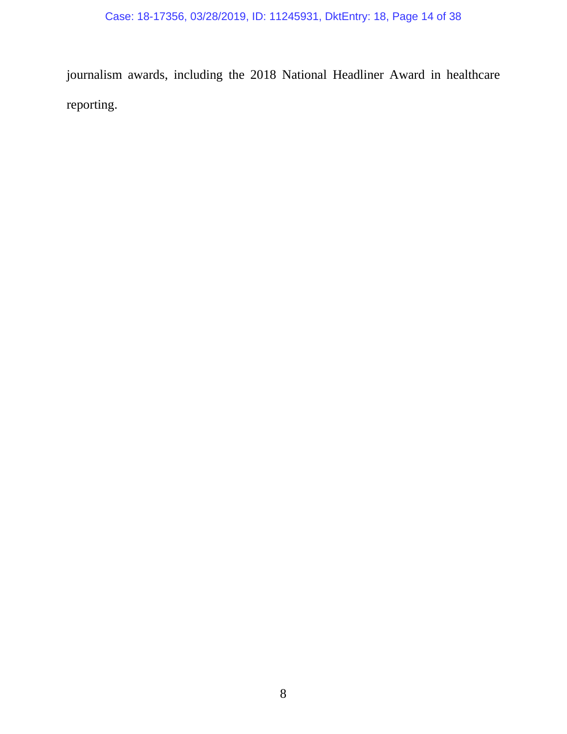journalism awards, including the 2018 National Headliner Award in healthcare reporting.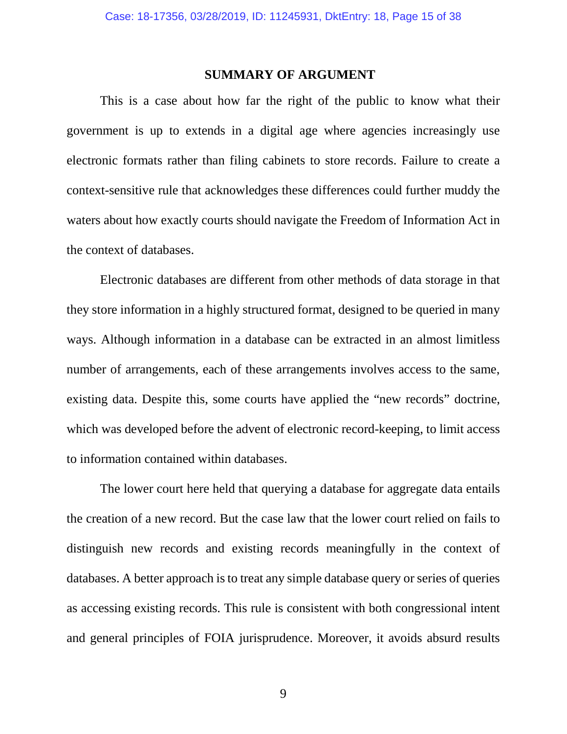### **SUMMARY OF ARGUMENT**

<span id="page-14-0"></span>This is a case about how far the right of the public to know what their government is up to extends in a digital age where agencies increasingly use electronic formats rather than filing cabinets to store records. Failure to create a context-sensitive rule that acknowledges these differences could further muddy the waters about how exactly courts should navigate the Freedom of Information Act in the context of databases.

Electronic databases are different from other methods of data storage in that they store information in a highly structured format, designed to be queried in many ways. Although information in a database can be extracted in an almost limitless number of arrangements, each of these arrangements involves access to the same, existing data. Despite this, some courts have applied the "new records" doctrine, which was developed before the advent of electronic record-keeping, to limit access to information contained within databases.

The lower court here held that querying a database for aggregate data entails the creation of a new record. But the case law that the lower court relied on fails to distinguish new records and existing records meaningfully in the context of databases. A better approach is to treat any simple database query or series of queries as accessing existing records. This rule is consistent with both congressional intent and general principles of FOIA jurisprudence. Moreover, it avoids absurd results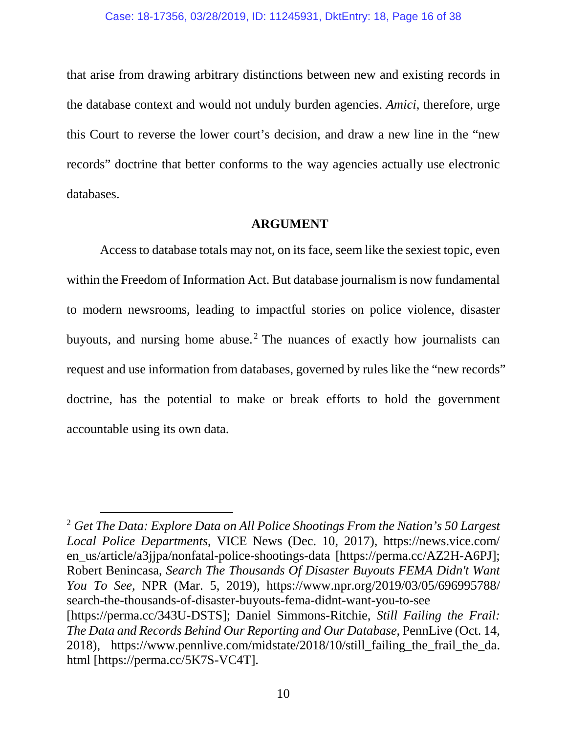that arise from drawing arbitrary distinctions between new and existing records in the database context and would not unduly burden agencies. *Amici*, therefore, urge this Court to reverse the lower court's decision, and draw a new line in the "new records" doctrine that better conforms to the way agencies actually use electronic databases.

## **ARGUMENT**

<span id="page-15-0"></span>Access to database totals may not, on its face, seem like the sexiest topic, even within the Freedom of Information Act. But database journalism is now fundamental to modern newsrooms, leading to impactful stories on police violence, disaster buyouts, and nursing home abuse.<sup>[2](#page-15-1)</sup> The nuances of exactly how journalists can request and use information from databases, governed by rules like the "new records" doctrine, has the potential to make or break efforts to hold the government accountable using its own data.

<span id="page-15-1"></span> <sup>2</sup> *Get The Data: Explore Data on All Police Shootings From the Nation's 50 Largest Local Police Departments*, VICE News (Dec. 10, 2017), https://news.vice.com/ en\_us/article/a3jjpa/nonfatal-police-shootings-data [https://perma.cc/AZ2H-A6PJ]; Robert Benincasa, *Search The Thousands Of Disaster Buyouts FEMA Didn't Want You To See*, NPR (Mar. 5, 2019), https://www.npr.org/2019/03/05/696995788/ search-the-thousands-of-disaster-buyouts-fema-didnt-want-you-to-see [https://perma.cc/343U-DSTS]; Daniel Simmons-Ritchie, *Still Failing the Frail: The Data and Records Behind Our Reporting and Our Database*, PennLive (Oct. 14, 2018), https://www.pennlive.com/midstate/2018/10/still\_failing\_the\_frail\_the\_da. html [https://perma.cc/5K7S-VC4T].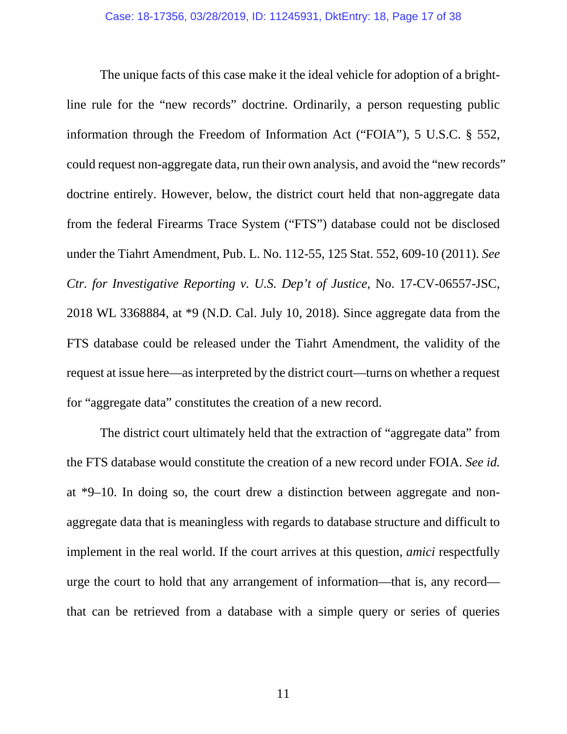The unique facts of this case make it the ideal vehicle for adoption of a brightline rule for the "new records" doctrine. Ordinarily, a person requesting public information through the Freedom of Information Act ("FOIA"), 5 U.S.C. § 552, could request non-aggregate data, run their own analysis, and avoid the "new records" doctrine entirely. However, below, the district court held that non-aggregate data from the federal Firearms Trace System ("FTS") database could not be disclosed under the Tiahrt Amendment, Pub. L. No. 112-55, 125 Stat. 552, 609-10 (2011). *See Ctr. for Investigative Reporting v. U.S. Dep't of Justice*, No. 17-CV-06557-JSC, 2018 WL 3368884, at \*9 (N.D. Cal. July 10, 2018). Since aggregate data from the FTS database could be released under the Tiahrt Amendment, the validity of the request at issue here—as interpreted by the district court—turns on whether a request for "aggregate data" constitutes the creation of a new record.

The district court ultimately held that the extraction of "aggregate data" from the FTS database would constitute the creation of a new record under FOIA. *See id.* at \*9–10. In doing so, the court drew a distinction between aggregate and nonaggregate data that is meaningless with regards to database structure and difficult to implement in the real world. If the court arrives at this question, *amici* respectfully urge the court to hold that any arrangement of information—that is, any record that can be retrieved from a database with a simple query or series of queries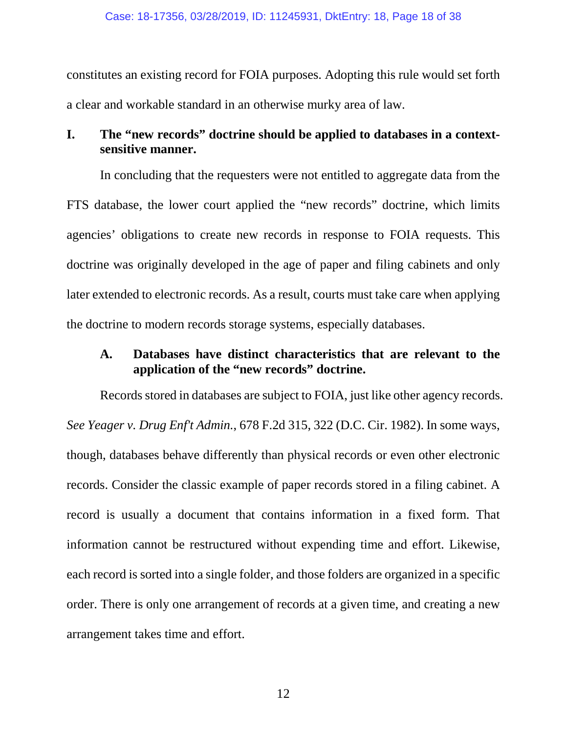constitutes an existing record for FOIA purposes. Adopting this rule would set forth a clear and workable standard in an otherwise murky area of law.

# <span id="page-17-0"></span>**I. The "new records" doctrine should be applied to databases in a contextsensitive manner.**

In concluding that the requesters were not entitled to aggregate data from the FTS database, the lower court applied the "new records" doctrine, which limits agencies' obligations to create new records in response to FOIA requests. This doctrine was originally developed in the age of paper and filing cabinets and only later extended to electronic records. As a result, courts must take care when applying the doctrine to modern records storage systems, especially databases.

## <span id="page-17-1"></span>**A. Databases have distinct characteristics that are relevant to the application of the "new records" doctrine.**

Records stored in databases are subject to FOIA, just like other agency records. *See Yeager v. Drug Enf't Admin.*, 678 F.2d 315, 322 (D.C. Cir. 1982). In some ways, though, databases behave differently than physical records or even other electronic records. Consider the classic example of paper records stored in a filing cabinet. A record is usually a document that contains information in a fixed form. That information cannot be restructured without expending time and effort. Likewise, each record is sorted into a single folder, and those folders are organized in a specific order. There is only one arrangement of records at a given time, and creating a new arrangement takes time and effort.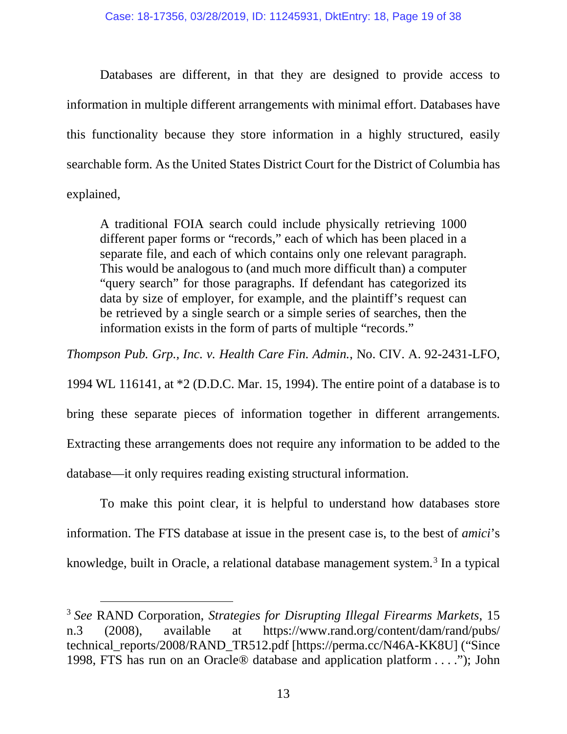Databases are different, in that they are designed to provide access to information in multiple different arrangements with minimal effort. Databases have this functionality because they store information in a highly structured, easily searchable form. As the United States District Court for the District of Columbia has explained,

A traditional FOIA search could include physically retrieving 1000 different paper forms or "records," each of which has been placed in a separate file, and each of which contains only one relevant paragraph. This would be analogous to (and much more difficult than) a computer "query search" for those paragraphs. If defendant has categorized its data by size of employer, for example, and the plaintiff's request can be retrieved by a single search or a simple series of searches, then the information exists in the form of parts of multiple "records."

*Thompson Pub. Grp., Inc. v. Health Care Fin. Admin.*, No. CIV. A. 92-2431-LFO,

1994 WL 116141, at \*2 (D.D.C. Mar. 15, 1994). The entire point of a database is to

bring these separate pieces of information together in different arrangements. Extracting these arrangements does not require any information to be added to the database—it only requires reading existing structural information.

To make this point clear, it is helpful to understand how databases store information. The FTS database at issue in the present case is, to the best of *amici*'s knowledge, built in Oracle, a relational database management system.<sup>[3](#page-18-0)</sup> In a typical

<span id="page-18-0"></span> <sup>3</sup> *See* RAND Corporation, *Strategies for Disrupting Illegal Firearms Markets*, 15 n.3 (2008), available at https://www.rand.org/content/dam/rand/pubs/ technical\_reports/2008/RAND\_TR512.pdf [https://perma.cc/N46A-KK8U] ("Since 1998, FTS has run on an Oracle® database and application platform . . . ."); John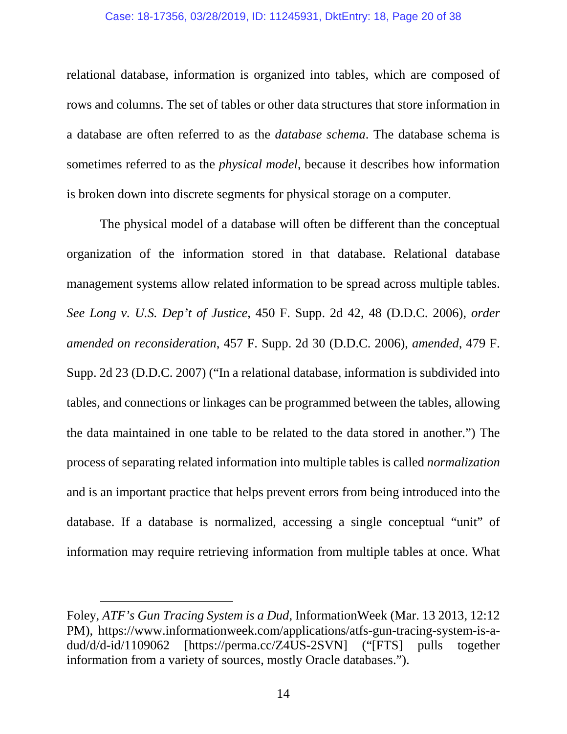#### Case: 18-17356, 03/28/2019, ID: 11245931, DktEntry: 18, Page 20 of 38

relational database, information is organized into tables, which are composed of rows and columns. The set of tables or other data structures that store information in a database are often referred to as the *database schema*. The database schema is sometimes referred to as the *physical model*, because it describes how information is broken down into discrete segments for physical storage on a computer.

The physical model of a database will often be different than the conceptual organization of the information stored in that database. Relational database management systems allow related information to be spread across multiple tables. *See Long v. U.S. Dep't of Justice*, 450 F. Supp. 2d 42, 48 (D.D.C. 2006), *order amended on reconsideration*, 457 F. Supp. 2d 30 (D.D.C. 2006), *amended*, 479 F. Supp. 2d 23 (D.D.C. 2007) ("In a relational database, information is subdivided into tables, and connections or linkages can be programmed between the tables, allowing the data maintained in one table to be related to the data stored in another.") The process of separating related information into multiple tables is called *normalization* and is an important practice that helps prevent errors from being introduced into the database. If a database is normalized, accessing a single conceptual "unit" of information may require retrieving information from multiple tables at once. What

 $\overline{a}$ 

Foley, *ATF's Gun Tracing System is a Dud*, InformationWeek (Mar. 13 2013, 12:12 PM), https://www.informationweek.com/applications/atfs-gun-tracing-system-is-adud/d/d-id/1109062 [https://perma.cc/Z4US-2SVN] ("[FTS] pulls together information from a variety of sources, mostly Oracle databases.").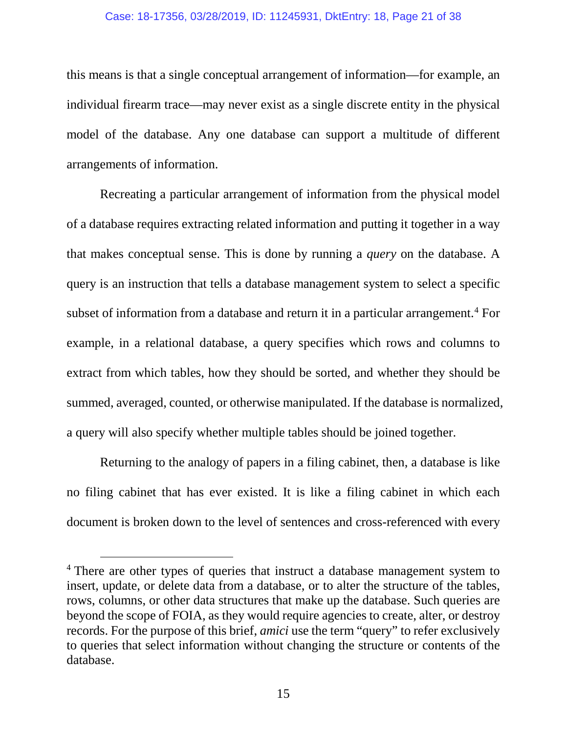### Case: 18-17356, 03/28/2019, ID: 11245931, DktEntry: 18, Page 21 of 38

this means is that a single conceptual arrangement of information—for example, an individual firearm trace—may never exist as a single discrete entity in the physical model of the database. Any one database can support a multitude of different arrangements of information.

Recreating a particular arrangement of information from the physical model of a database requires extracting related information and putting it together in a way that makes conceptual sense. This is done by running a *query* on the database. A query is an instruction that tells a database management system to select a specific subset of information from a database and return it in a particular arrangement.<sup>[4](#page-20-0)</sup> For example, in a relational database, a query specifies which rows and columns to extract from which tables, how they should be sorted, and whether they should be summed, averaged, counted, or otherwise manipulated. If the database is normalized, a query will also specify whether multiple tables should be joined together.

Returning to the analogy of papers in a filing cabinet, then, a database is like no filing cabinet that has ever existed. It is like a filing cabinet in which each document is broken down to the level of sentences and cross-referenced with every

<span id="page-20-0"></span><sup>&</sup>lt;sup>4</sup> There are other types of queries that instruct a database management system to insert, update, or delete data from a database, or to alter the structure of the tables, rows, columns, or other data structures that make up the database. Such queries are beyond the scope of FOIA, as they would require agencies to create, alter, or destroy records. For the purpose of this brief, *amici* use the term "query" to refer exclusively to queries that select information without changing the structure or contents of the database.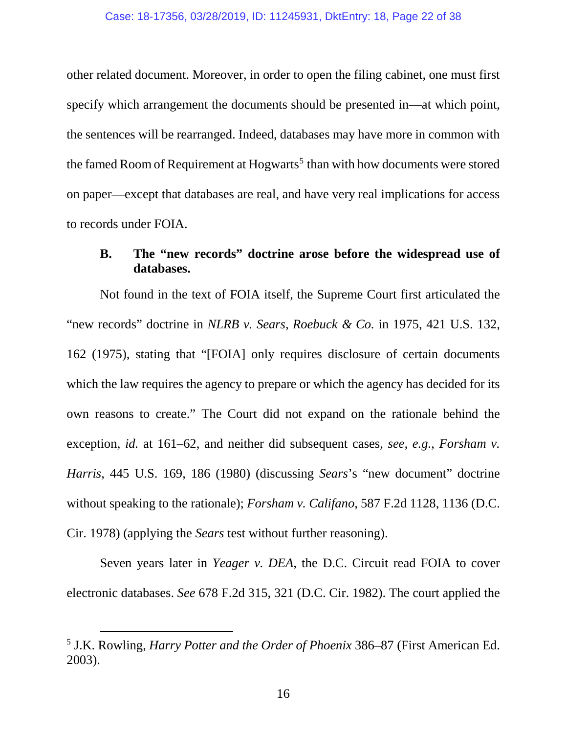other related document. Moreover, in order to open the filing cabinet, one must first specify which arrangement the documents should be presented in—at which point, the sentences will be rearranged. Indeed, databases may have more in common with the famed Room of Requirement at  $Hogwarts^5$  $Hogwarts^5$  than with how documents were stored on paper—except that databases are real, and have very real implications for access to records under FOIA.

# <span id="page-21-0"></span>**B. The "new records" doctrine arose before the widespread use of databases.**

Not found in the text of FOIA itself, the Supreme Court first articulated the "new records" doctrine in *NLRB v. Sears, Roebuck & Co.* in 1975, 421 U.S. 132, 162 (1975), stating that "[FOIA] only requires disclosure of certain documents which the law requires the agency to prepare or which the agency has decided for its own reasons to create." The Court did not expand on the rationale behind the exception, *id.* at 161–62, and neither did subsequent cases, *see, e.g.*, *Forsham v. Harris*, 445 U.S. 169, 186 (1980) (discussing *Sears*'s "new document" doctrine without speaking to the rationale); *Forsham v. Califano*, 587 F.2d 1128, 1136 (D.C. Cir. 1978) (applying the *Sears* test without further reasoning).

Seven years later in *Yeager v. DEA*, the D.C. Circuit read FOIA to cover electronic databases. *See* 678 F.2d 315, 321 (D.C. Cir. 1982). The court applied the

<span id="page-21-1"></span> <sup>5</sup> J.K. Rowling, *Harry Potter and the Order of Phoenix* 386–87 (First American Ed. 2003).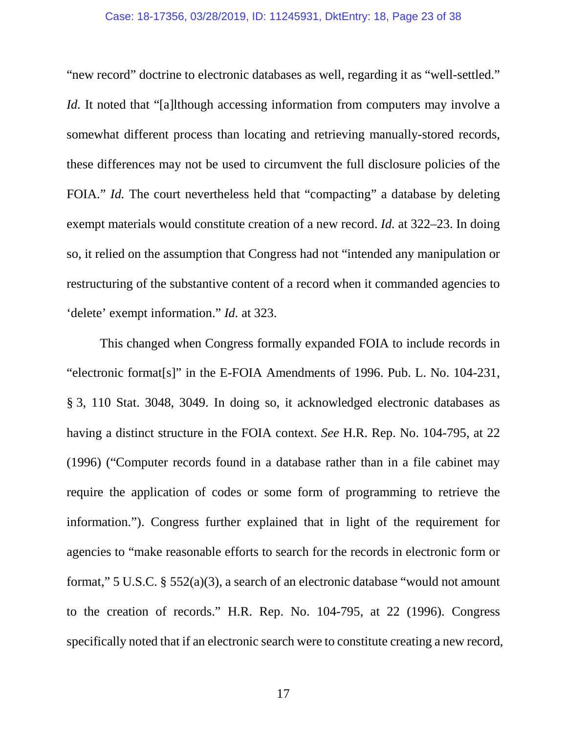#### Case: 18-17356, 03/28/2019, ID: 11245931, DktEntry: 18, Page 23 of 38

"new record" doctrine to electronic databases as well, regarding it as "well-settled." *Id.* It noted that "[a]lthough accessing information from computers may involve a somewhat different process than locating and retrieving manually-stored records, these differences may not be used to circumvent the full disclosure policies of the FOIA." *Id.* The court nevertheless held that "compacting" a database by deleting exempt materials would constitute creation of a new record. *Id.* at 322–23. In doing so, it relied on the assumption that Congress had not "intended any manipulation or restructuring of the substantive content of a record when it commanded agencies to 'delete' exempt information." *Id.* at 323.

This changed when Congress formally expanded FOIA to include records in "electronic format[s]" in the E-FOIA Amendments of 1996. Pub. L. No. 104-231, § 3, 110 Stat. 3048, 3049. In doing so, it acknowledged electronic databases as having a distinct structure in the FOIA context. *See* H.R. Rep. No. 104-795, at 22 (1996) ("Computer records found in a database rather than in a file cabinet may require the application of codes or some form of programming to retrieve the information."). Congress further explained that in light of the requirement for agencies to "make reasonable efforts to search for the records in electronic form or format," 5 U.S.C. § 552(a)(3), a search of an electronic database "would not amount to the creation of records." H.R. Rep. No. 104-795, at 22 (1996). Congress specifically noted that if an electronic search were to constitute creating a new record,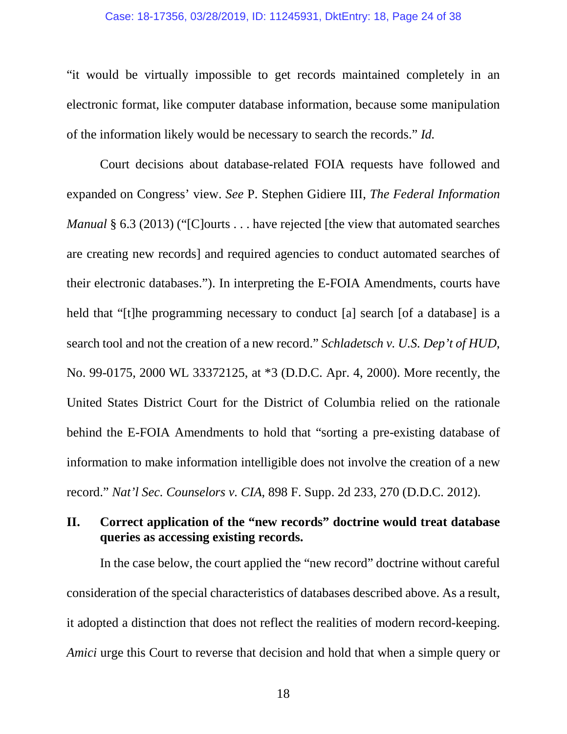#### Case: 18-17356, 03/28/2019, ID: 11245931, DktEntry: 18, Page 24 of 38

"it would be virtually impossible to get records maintained completely in an electronic format, like computer database information, because some manipulation of the information likely would be necessary to search the records." *Id.*

Court decisions about database-related FOIA requests have followed and expanded on Congress' view. *See* P. Stephen Gidiere III, *The Federal Information Manual* § 6.3 (2013) ("[C]ourts . . . have rejected [the view that automated searches are creating new records] and required agencies to conduct automated searches of their electronic databases."). In interpreting the E-FOIA Amendments, courts have held that "[t]he programming necessary to conduct [a] search [of a database] is a search tool and not the creation of a new record." *Schladetsch v. U.S. Dep't of HUD*, No. 99-0175, 2000 WL 33372125, at \*3 (D.D.C. Apr. 4, 2000). More recently, the United States District Court for the District of Columbia relied on the rationale behind the E-FOIA Amendments to hold that "sorting a pre-existing database of information to make information intelligible does not involve the creation of a new record." *Nat'l Sec. Counselors v. CIA*, 898 F. Supp. 2d 233, 270 (D.D.C. 2012).

# <span id="page-23-0"></span>**II. Correct application of the "new records" doctrine would treat database queries as accessing existing records.**

In the case below, the court applied the "new record" doctrine without careful consideration of the special characteristics of databases described above. As a result, it adopted a distinction that does not reflect the realities of modern record-keeping. *Amici* urge this Court to reverse that decision and hold that when a simple query or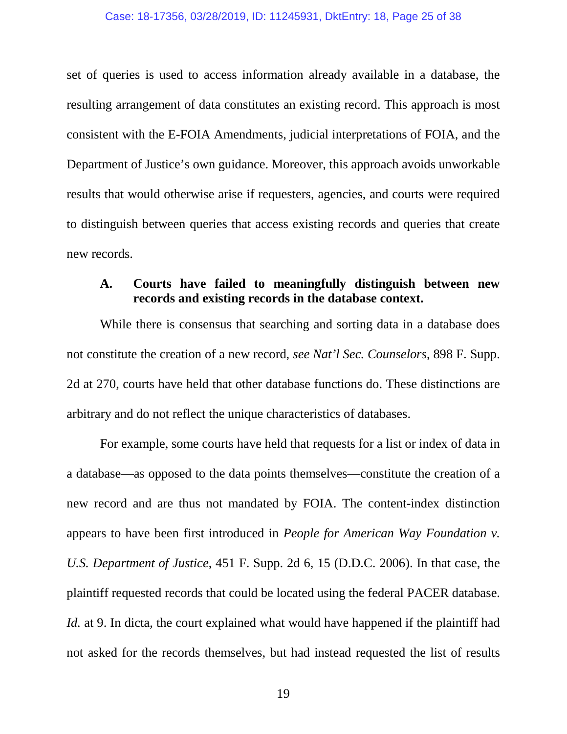#### Case: 18-17356, 03/28/2019, ID: 11245931, DktEntry: 18, Page 25 of 38

set of queries is used to access information already available in a database, the resulting arrangement of data constitutes an existing record. This approach is most consistent with the E-FOIA Amendments, judicial interpretations of FOIA, and the Department of Justice's own guidance. Moreover, this approach avoids unworkable results that would otherwise arise if requesters, agencies, and courts were required to distinguish between queries that access existing records and queries that create new records.

# <span id="page-24-0"></span>**A. Courts have failed to meaningfully distinguish between new records and existing records in the database context.**

While there is consensus that searching and sorting data in a database does not constitute the creation of a new record, *see Nat'l Sec. Counselors*, 898 F. Supp. 2d at 270, courts have held that other database functions do. These distinctions are arbitrary and do not reflect the unique characteristics of databases.

For example, some courts have held that requests for a list or index of data in a database—as opposed to the data points themselves—constitute the creation of a new record and are thus not mandated by FOIA. The content-index distinction appears to have been first introduced in *People for American Way Foundation v. U.S. Department of Justice*, 451 F. Supp. 2d 6, 15 (D.D.C. 2006). In that case, the plaintiff requested records that could be located using the federal PACER database. *Id.* at 9. In dicta, the court explained what would have happened if the plaintiff had not asked for the records themselves, but had instead requested the list of results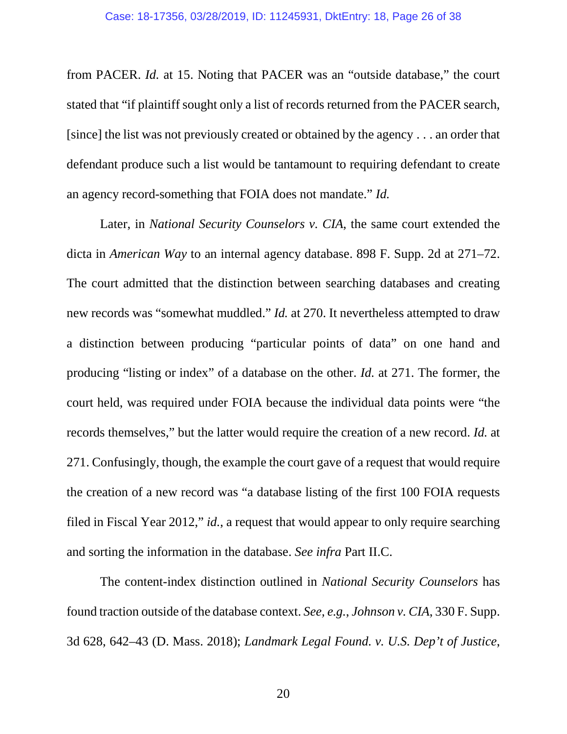from PACER. *Id.* at 15. Noting that PACER was an "outside database," the court stated that "if plaintiff sought only a list of records returned from the PACER search, [since] the list was not previously created or obtained by the agency . . . an order that defendant produce such a list would be tantamount to requiring defendant to create an agency record-something that FOIA does not mandate." *Id.*

Later, in *National Security Counselors v. CIA*, the same court extended the dicta in *American Way* to an internal agency database. 898 F. Supp. 2d at 271–72. The court admitted that the distinction between searching databases and creating new records was "somewhat muddled." *Id.* at 270. It nevertheless attempted to draw a distinction between producing "particular points of data" on one hand and producing "listing or index" of a database on the other. *Id.* at 271. The former, the court held, was required under FOIA because the individual data points were "the records themselves," but the latter would require the creation of a new record. *Id.* at 271. Confusingly, though, the example the court gave of a request that would require the creation of a new record was "a database listing of the first 100 FOIA requests filed in Fiscal Year 2012," *id.*, a request that would appear to only require searching and sorting the information in the database. *See infra* Part II.C.

The content-index distinction outlined in *National Security Counselors* has found traction outside of the database context. *See, e.g.*, *Johnson v. CIA*, 330 F. Supp. 3d 628, 642–43 (D. Mass. 2018); *Landmark Legal Found. v. U.S. Dep't of Justice*,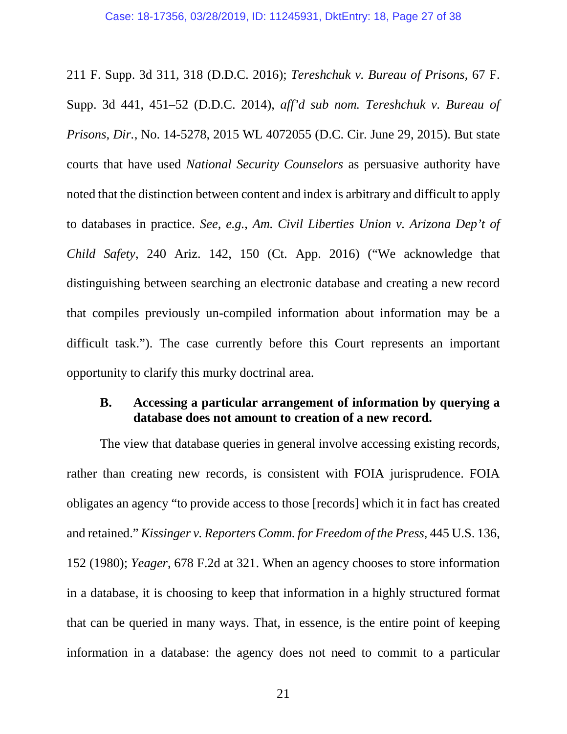211 F. Supp. 3d 311, 318 (D.D.C. 2016); *Tereshchuk v. Bureau of Prisons*, 67 F. Supp. 3d 441, 451–52 (D.D.C. 2014), *aff'd sub nom. Tereshchuk v. Bureau of Prisons, Dir.*, No. 14-5278, 2015 WL 4072055 (D.C. Cir. June 29, 2015). But state courts that have used *National Security Counselors* as persuasive authority have noted that the distinction between content and index is arbitrary and difficult to apply to databases in practice. *See, e.g.*, *Am. Civil Liberties Union v. Arizona Dep't of Child Safety*, 240 Ariz. 142, 150 (Ct. App. 2016) ("We acknowledge that distinguishing between searching an electronic database and creating a new record that compiles previously un-compiled information about information may be a difficult task."). The case currently before this Court represents an important opportunity to clarify this murky doctrinal area.

## <span id="page-26-0"></span>**B. Accessing a particular arrangement of information by querying a database does not amount to creation of a new record.**

The view that database queries in general involve accessing existing records, rather than creating new records, is consistent with FOIA jurisprudence. FOIA obligates an agency "to provide access to those [records] which it in fact has created and retained." *Kissinger v. Reporters Comm. for Freedom of the Press*, 445 U.S. 136, 152 (1980); *Yeager*, 678 F.2d at 321. When an agency chooses to store information in a database, it is choosing to keep that information in a highly structured format that can be queried in many ways. That, in essence, is the entire point of keeping information in a database: the agency does not need to commit to a particular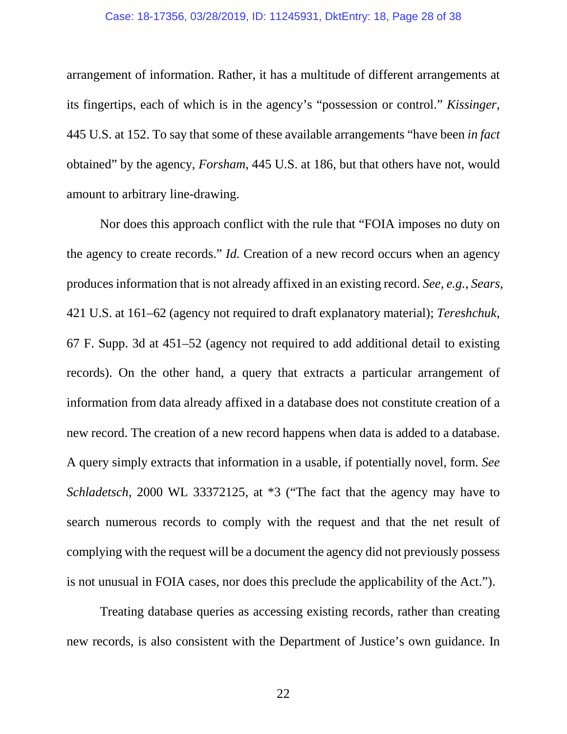#### Case: 18-17356, 03/28/2019, ID: 11245931, DktEntry: 18, Page 28 of 38

arrangement of information. Rather, it has a multitude of different arrangements at its fingertips, each of which is in the agency's "possession or control." *Kissinger*, 445 U.S. at 152. To say that some of these available arrangements "have been *in fact* obtained" by the agency, *Forsham*, 445 U.S. at 186, but that others have not, would amount to arbitrary line-drawing.

Nor does this approach conflict with the rule that "FOIA imposes no duty on the agency to create records." *Id.* Creation of a new record occurs when an agency produces information that is not already affixed in an existing record. *See, e.g.*, *Sears*, 421 U.S. at 161–62 (agency not required to draft explanatory material); *Tereshchuk*, 67 F. Supp. 3d at 451–52 (agency not required to add additional detail to existing records). On the other hand, a query that extracts a particular arrangement of information from data already affixed in a database does not constitute creation of a new record. The creation of a new record happens when data is added to a database. A query simply extracts that information in a usable, if potentially novel, form. *See Schladetsch*, 2000 WL 33372125, at \*3 ("The fact that the agency may have to search numerous records to comply with the request and that the net result of complying with the request will be a document the agency did not previously possess is not unusual in FOIA cases, nor does this preclude the applicability of the Act.").

Treating database queries as accessing existing records, rather than creating new records, is also consistent with the Department of Justice's own guidance. In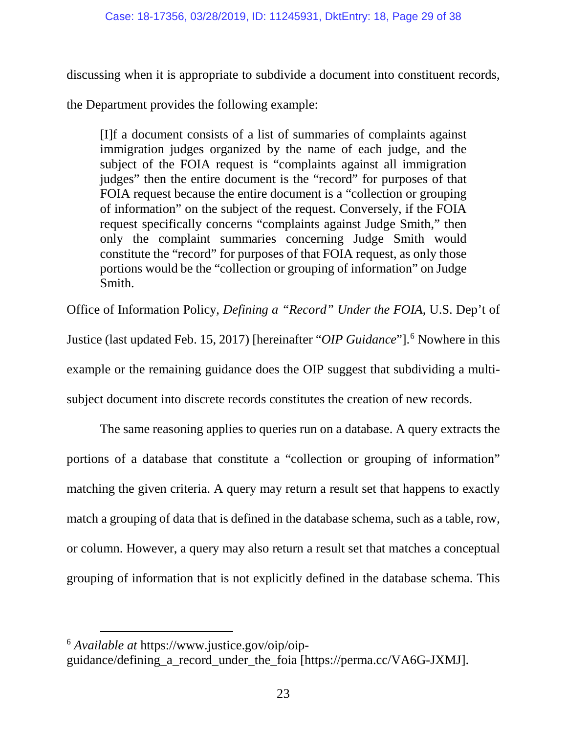discussing when it is appropriate to subdivide a document into constituent records,

the Department provides the following example:

[I]f a document consists of a list of summaries of complaints against immigration judges organized by the name of each judge, and the subject of the FOIA request is "complaints against all immigration judges" then the entire document is the "record" for purposes of that FOIA request because the entire document is a "collection or grouping of information" on the subject of the request. Conversely, if the FOIA request specifically concerns "complaints against Judge Smith," then only the complaint summaries concerning Judge Smith would constitute the "record" for purposes of that FOIA request, as only those portions would be the "collection or grouping of information" on Judge Smith.

Office of Information Policy, *Defining a "Record" Under the FOIA*, U.S. Dep't of

Justice (last updated Feb. 15, 2017) [hereinafter "*OIP Guidance*"]. [6](#page-28-0) Nowhere in this

example or the remaining guidance does the OIP suggest that subdividing a multi-

subject document into discrete records constitutes the creation of new records.

The same reasoning applies to queries run on a database. A query extracts the portions of a database that constitute a "collection or grouping of information" matching the given criteria. A query may return a result set that happens to exactly match a grouping of data that is defined in the database schema, such as a table, row, or column. However, a query may also return a result set that matches a conceptual grouping of information that is not explicitly defined in the database schema. This

<span id="page-28-0"></span>6 *Available at* https://www.justice.gov/oip/oip-

guidance/defining\_a\_record\_under\_the\_foia [https://perma.cc/VA6G-JXMJ].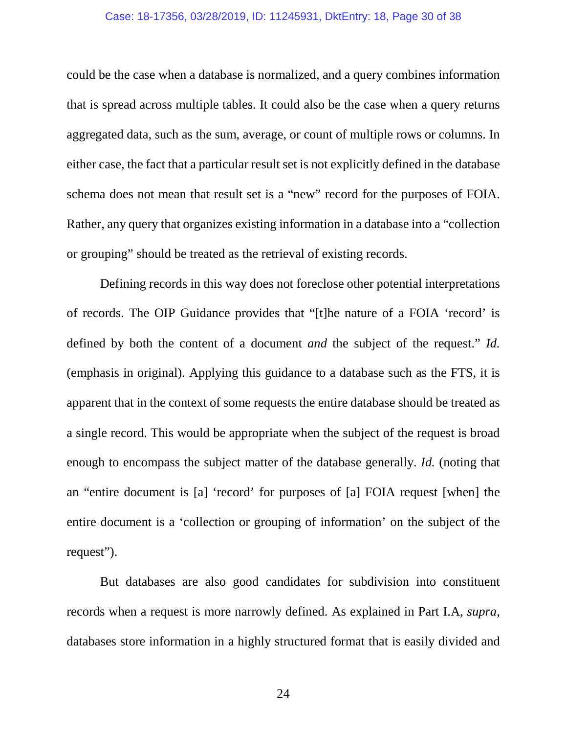#### Case: 18-17356, 03/28/2019, ID: 11245931, DktEntry: 18, Page 30 of 38

could be the case when a database is normalized, and a query combines information that is spread across multiple tables. It could also be the case when a query returns aggregated data, such as the sum, average, or count of multiple rows or columns. In either case, the fact that a particular result set is not explicitly defined in the database schema does not mean that result set is a "new" record for the purposes of FOIA. Rather, any query that organizes existing information in a database into a "collection or grouping" should be treated as the retrieval of existing records.

Defining records in this way does not foreclose other potential interpretations of records. The OIP Guidance provides that "[t]he nature of a FOIA 'record' is defined by both the content of a document *and* the subject of the request." *Id.* (emphasis in original). Applying this guidance to a database such as the FTS, it is apparent that in the context of some requests the entire database should be treated as a single record. This would be appropriate when the subject of the request is broad enough to encompass the subject matter of the database generally. *Id.* (noting that an "entire document is [a] 'record' for purposes of [a] FOIA request [when] the entire document is a 'collection or grouping of information' on the subject of the request").

But databases are also good candidates for subdivision into constituent records when a request is more narrowly defined. As explained in Part I.A, *supra*, databases store information in a highly structured format that is easily divided and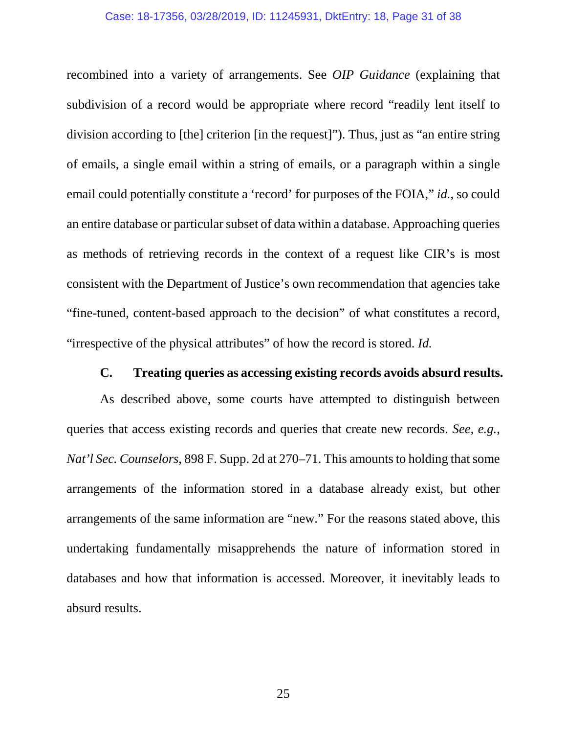#### Case: 18-17356, 03/28/2019, ID: 11245931, DktEntry: 18, Page 31 of 38

recombined into a variety of arrangements. See *OIP Guidance* (explaining that subdivision of a record would be appropriate where record "readily lent itself to division according to [the] criterion [in the request]"). Thus, just as "an entire string of emails, a single email within a string of emails, or a paragraph within a single email could potentially constitute a 'record' for purposes of the FOIA," *id.*, so could an entire database or particular subset of data within a database. Approaching queries as methods of retrieving records in the context of a request like CIR's is most consistent with the Department of Justice's own recommendation that agencies take "fine-tuned, content-based approach to the decision" of what constitutes a record, "irrespective of the physical attributes" of how the record is stored. *Id.*

## **C. Treating queries as accessing existing records avoids absurd results.**

<span id="page-30-0"></span>As described above, some courts have attempted to distinguish between queries that access existing records and queries that create new records. *See, e.g.*, *Nat'l Sec. Counselors*, 898 F. Supp. 2d at 270–71. This amounts to holding that some arrangements of the information stored in a database already exist, but other arrangements of the same information are "new." For the reasons stated above, this undertaking fundamentally misapprehends the nature of information stored in databases and how that information is accessed. Moreover, it inevitably leads to absurd results.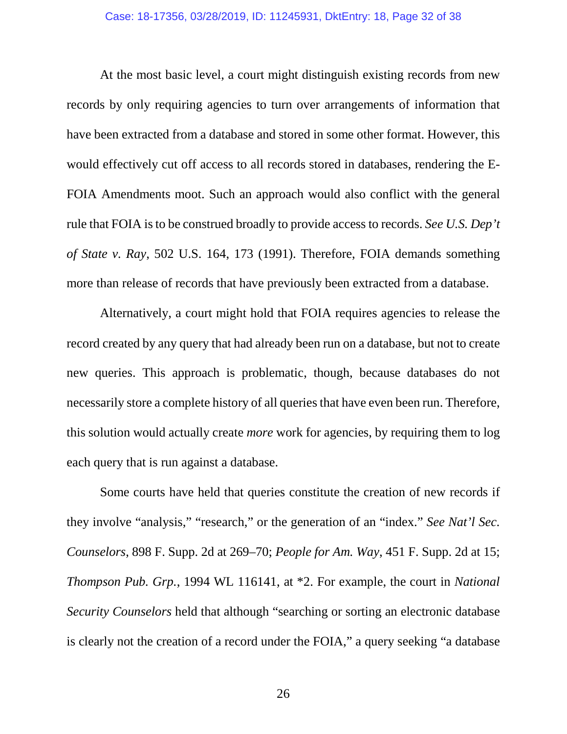At the most basic level, a court might distinguish existing records from new records by only requiring agencies to turn over arrangements of information that have been extracted from a database and stored in some other format. However, this would effectively cut off access to all records stored in databases, rendering the E-FOIA Amendments moot. Such an approach would also conflict with the general rule that FOIA is to be construed broadly to provide access to records. *See U.S. Dep't of State v. Ray*, 502 U.S. 164, 173 (1991). Therefore, FOIA demands something more than release of records that have previously been extracted from a database.

Alternatively, a court might hold that FOIA requires agencies to release the record created by any query that had already been run on a database, but not to create new queries. This approach is problematic, though, because databases do not necessarily store a complete history of all queries that have even been run. Therefore, this solution would actually create *more* work for agencies, by requiring them to log each query that is run against a database.

Some courts have held that queries constitute the creation of new records if they involve "analysis," "research," or the generation of an "index." *See Nat'l Sec. Counselors*, 898 F. Supp. 2d at 269–70; *People for Am. Way*, 451 F. Supp. 2d at 15; *Thompson Pub. Grp.*, 1994 WL 116141, at \*2. For example, the court in *National Security Counselors* held that although "searching or sorting an electronic database is clearly not the creation of a record under the FOIA," a query seeking "a database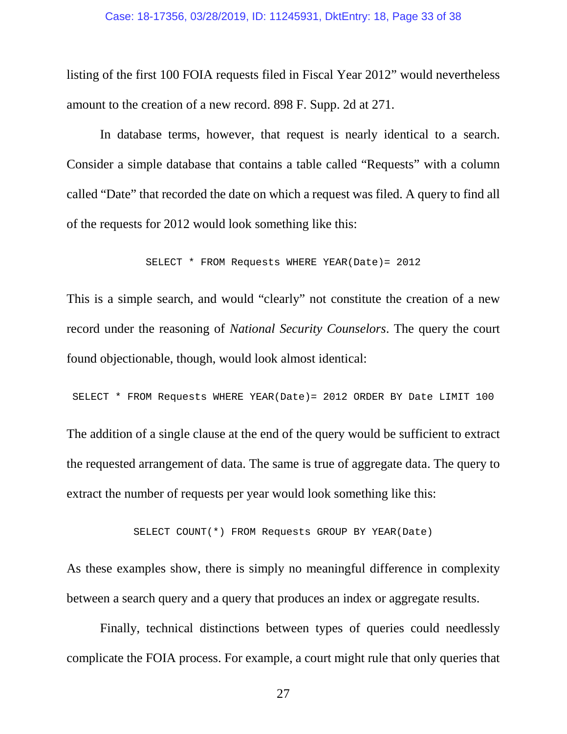#### Case: 18-17356, 03/28/2019, ID: 11245931, DktEntry: 18, Page 33 of 38

listing of the first 100 FOIA requests filed in Fiscal Year 2012" would nevertheless amount to the creation of a new record. 898 F. Supp. 2d at 271.

In database terms, however, that request is nearly identical to a search. Consider a simple database that contains a table called "Requests" with a column called "Date" that recorded the date on which a request was filed. A query to find all of the requests for 2012 would look something like this:

```
SELECT * FROM Requests WHERE YEAR(Date)= 2012
```
This is a simple search, and would "clearly" not constitute the creation of a new record under the reasoning of *National Security Counselors*. The query the court found objectionable, though, would look almost identical:

SELECT \* FROM Requests WHERE YEAR(Date)= 2012 ORDER BY Date LIMIT 100

The addition of a single clause at the end of the query would be sufficient to extract the requested arrangement of data. The same is true of aggregate data. The query to extract the number of requests per year would look something like this:

SELECT COUNT(\*) FROM Requests GROUP BY YEAR(Date)

As these examples show, there is simply no meaningful difference in complexity between a search query and a query that produces an index or aggregate results.

Finally, technical distinctions between types of queries could needlessly complicate the FOIA process. For example, a court might rule that only queries that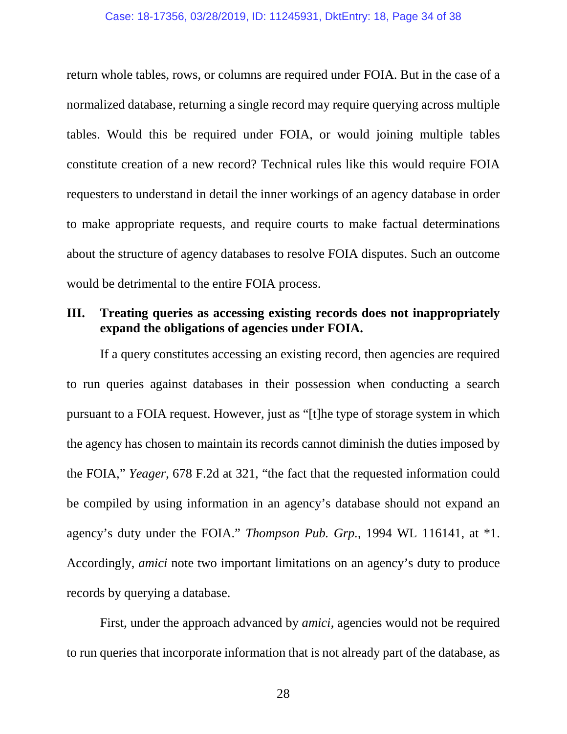#### Case: 18-17356, 03/28/2019, ID: 11245931, DktEntry: 18, Page 34 of 38

return whole tables, rows, or columns are required under FOIA. But in the case of a normalized database, returning a single record may require querying across multiple tables. Would this be required under FOIA, or would joining multiple tables constitute creation of a new record? Technical rules like this would require FOIA requesters to understand in detail the inner workings of an agency database in order to make appropriate requests, and require courts to make factual determinations about the structure of agency databases to resolve FOIA disputes. Such an outcome would be detrimental to the entire FOIA process.

# <span id="page-33-0"></span>**III. Treating queries as accessing existing records does not inappropriately expand the obligations of agencies under FOIA.**

If a query constitutes accessing an existing record, then agencies are required to run queries against databases in their possession when conducting a search pursuant to a FOIA request. However, just as "[t]he type of storage system in which the agency has chosen to maintain its records cannot diminish the duties imposed by the FOIA," *Yeager*, 678 F.2d at 321, "the fact that the requested information could be compiled by using information in an agency's database should not expand an agency's duty under the FOIA." *Thompson Pub. Grp.*, 1994 WL 116141, at \*1. Accordingly, *amici* note two important limitations on an agency's duty to produce records by querying a database.

First, under the approach advanced by *amici*, agencies would not be required to run queries that incorporate information that is not already part of the database, as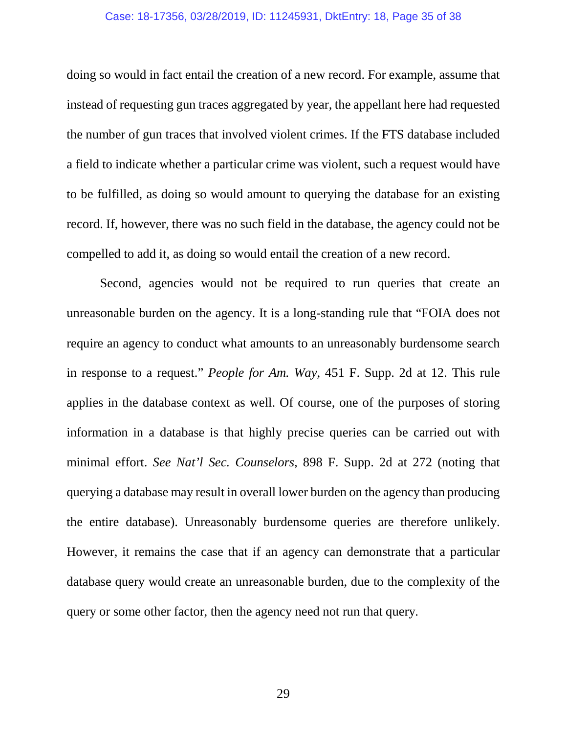#### Case: 18-17356, 03/28/2019, ID: 11245931, DktEntry: 18, Page 35 of 38

doing so would in fact entail the creation of a new record. For example, assume that instead of requesting gun traces aggregated by year, the appellant here had requested the number of gun traces that involved violent crimes. If the FTS database included a field to indicate whether a particular crime was violent, such a request would have to be fulfilled, as doing so would amount to querying the database for an existing record. If, however, there was no such field in the database, the agency could not be compelled to add it, as doing so would entail the creation of a new record.

Second, agencies would not be required to run queries that create an unreasonable burden on the agency. It is a long-standing rule that "FOIA does not require an agency to conduct what amounts to an unreasonably burdensome search in response to a request." *People for Am. Way*, 451 F. Supp. 2d at 12. This rule applies in the database context as well. Of course, one of the purposes of storing information in a database is that highly precise queries can be carried out with minimal effort. *See Nat'l Sec. Counselors*, 898 F. Supp. 2d at 272 (noting that querying a database may result in overall lower burden on the agency than producing the entire database). Unreasonably burdensome queries are therefore unlikely. However, it remains the case that if an agency can demonstrate that a particular database query would create an unreasonable burden, due to the complexity of the query or some other factor, then the agency need not run that query.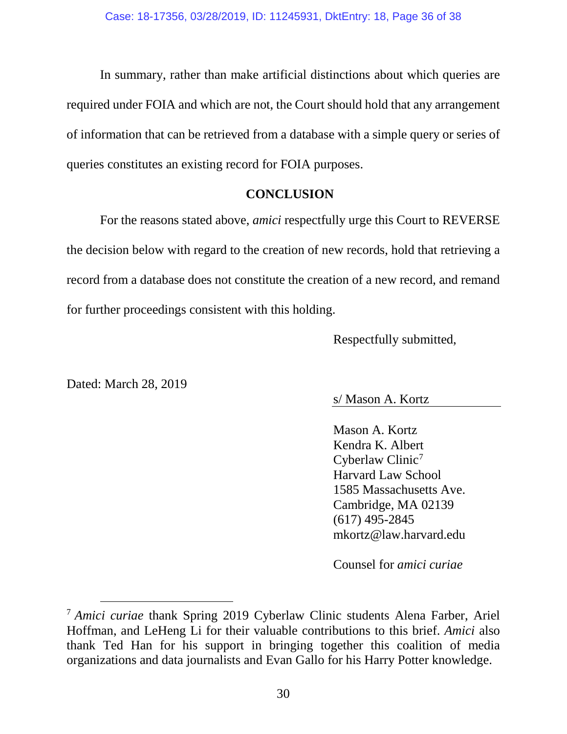In summary, rather than make artificial distinctions about which queries are required under FOIA and which are not, the Court should hold that any arrangement of information that can be retrieved from a database with a simple query or series of queries constitutes an existing record for FOIA purposes.

## **CONCLUSION**

<span id="page-35-0"></span>For the reasons stated above, *amici* respectfully urge this Court to REVERSE the decision below with regard to the creation of new records, hold that retrieving a record from a database does not constitute the creation of a new record, and remand for further proceedings consistent with this holding.

Respectfully submitted,

Dated: March 28, 2019

# s/ Mason A. Kortz

Mason A. Kortz Kendra K. Albert Cyberlaw Clinic<sup>[7](#page-35-1)</sup> Harvard Law School 1585 Massachusetts Ave. Cambridge, MA 02139 (617) 495-2845 mkortz@law.harvard.edu

Counsel for *amici curiae*

<span id="page-35-1"></span> <sup>7</sup> *Amici curiae* thank Spring 2019 Cyberlaw Clinic students Alena Farber, Ariel Hoffman, and LeHeng Li for their valuable contributions to this brief. *Amici* also thank Ted Han for his support in bringing together this coalition of media organizations and data journalists and Evan Gallo for his Harry Potter knowledge.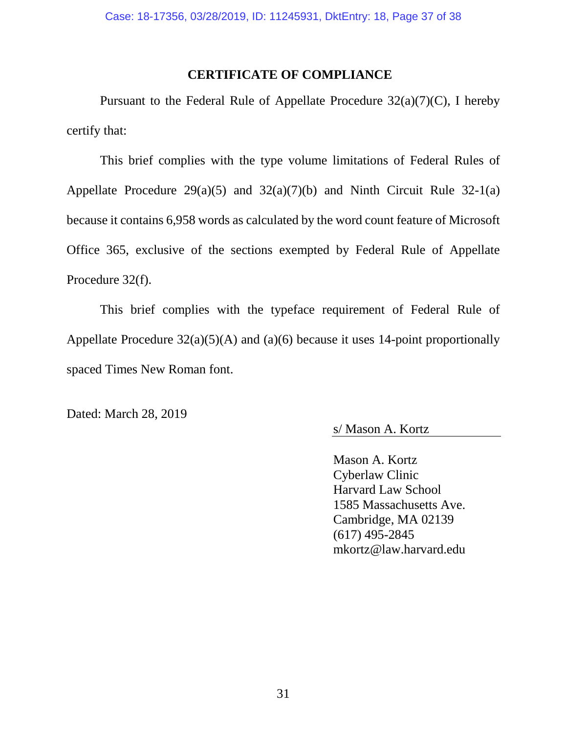## **CERTIFICATE OF COMPLIANCE**

<span id="page-36-0"></span>Pursuant to the Federal Rule of Appellate Procedure  $32(a)(7)(C)$ , I hereby certify that:

This brief complies with the type volume limitations of Federal Rules of Appellate Procedure  $29(a)(5)$  and  $32(a)(7)(b)$  and Ninth Circuit Rule 32-1(a) because it contains 6,958 words as calculated by the word count feature of Microsoft Office 365, exclusive of the sections exempted by Federal Rule of Appellate Procedure 32(f).

This brief complies with the typeface requirement of Federal Rule of Appellate Procedure  $32(a)(5)(A)$  and  $(a)(6)$  because it uses 14-point proportionally spaced Times New Roman font.

Dated: March 28, 2019

s/ Mason A. Kortz

Mason A. Kortz Cyberlaw Clinic Harvard Law School 1585 Massachusetts Ave. Cambridge, MA 02139 (617) 495-2845 mkortz@law.harvard.edu